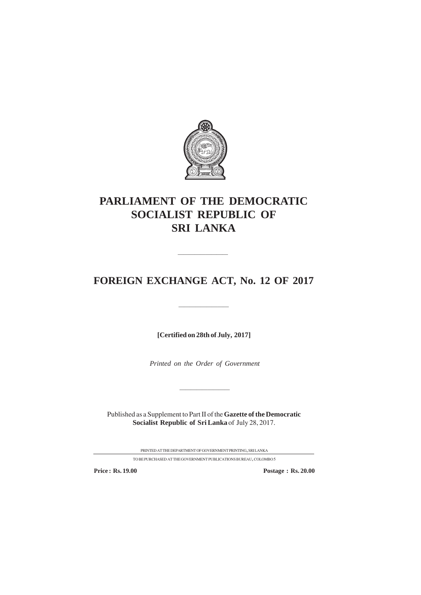

# **PARLIAMENT OF THE DEMOCRATIC SOCIALIST REPUBLIC OF SRI LANKA**

# **FOREIGN EXCHANGE ACT, No. 12 OF 2017**

—————————

—————————

**[Certified on 28th of July, 2017]**

*Printed on the Order of Government*

—————————

Published as a Supplement to Part II of the **Gazette of the Democratic Socialist Republic of Sri Lanka** of July 28, 2017.

PRINTEDATTHEDEPARTMENTOFGOVERNMENTPRINTING, SRILANKA

TO BE PURCHASED AT THE GOVERNMENT PUBLICATIONS BUREAU, COLOMBO  $\bar{5}$ 

**Price : Rs. 19.00 Postage : Rs. 20.00**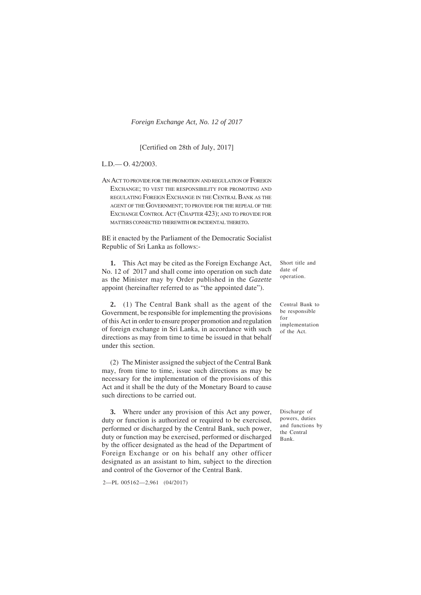#### [Certified on 28th of July, 2017]

#### L.D.— O. 42/2003.

AN ACT TO PROVIDE FOR THE PROMOTION AND REGULATION OF FOREIGN EXCHANGE; TO VEST THE RESPONSIBILITY FOR PROMOTING AND REGULATING FOREIGN EXCHANGE IN THE CENTRAL BANK AS THE AGENT OF THE GOVERNMENT; TO PROVIDE FOR THE REPEAL OF THE EXCHANGE CONTROL ACT (CHAPTER 423); AND TO PROVIDE FOR MATTERS CONNECTED THEREWITH OR INCIDENTAL THERETO.

BE it enacted by the Parliament of the Democratic Socialist Republic of Sri Lanka as follows:-

**1.** This Act may be cited as the Foreign Exchange Act, No. 12 of 2017 and shall come into operation on such date as the Minister may by Order published in the *Gazette* appoint (hereinafter referred to as "the appointed date").

**2.** (1) The Central Bank shall as the agent of the Government, be responsible for implementing the provisions of this Act in order to ensure proper promotion and regulation of foreign exchange in Sri Lanka, in accordance with such directions as may from time to time be issued in that behalf under this section.

(2) The Minister assigned the subject of the Central Bank may, from time to time, issue such directions as may be necessary for the implementation of the provisions of this Act and it shall be the duty of the Monetary Board to cause such directions to be carried out.

**3.** Where under any provision of this Act any power, duty or function is authorized or required to be exercised, performed or discharged by the Central Bank, such power, duty or function may be exercised, performed or discharged by the officer designated as the head of the Department of Foreign Exchange or on his behalf any other officer designated as an assistant to him, subject to the direction and control of the Governor of the Central Bank.

2—PL 005162—2,961 (04/2017)

Short title and date of operation.

Central Bank to be responsible for implementation of the Act.

Discharge of powers, duties and functions by the Central Bank.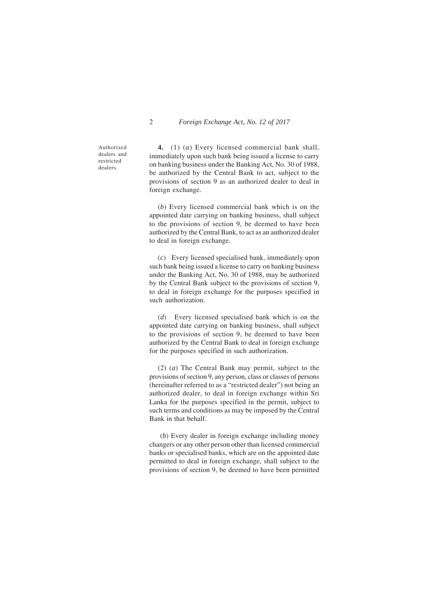Authorized dealers and restricted dealers.

**4.** (1) (*a*) Every licensed commercial bank shall, immediately upon such bank being issued a license to carry on banking business under the Banking Act, No. 30 of 1988, be authorized by the Central Bank to act, subject to the provisions of section 9 as an authorized dealer to deal in foreign exchange.

(*b*) Every licensed commercial bank which is on the appointed date carrying on banking business, shall subject to the provisions of section 9, be deemed to have been authorized by the Central Bank, to act as an authorized dealer to deal in foreign exchange.

(*c*) Every licensed specialised bank, immediately upon such bank being issued a license to carry on banking business under the Banking Act, No. 30 of 1988, may be authorized by the Central Bank subject to the provisions of section 9, to deal in foreign exchange for the purposes specified in such authorization.

(*d*) Every licensed specialised bank which is on the appointed date carrying on banking business, shall subject to the provisions of section 9, be deemed to have been authorized by the Central Bank to deal in foreign exchange for the purposes specified in such authorization.

(2) (*a*) The Central Bank may permit, subject to the provisions of section 9, any person, class or classes of persons (hereinafter referred to as a "restricted dealer") not being an authorized dealer, to deal in foreign exchange within Sri Lanka for the purposes specified in the permit, subject to such terms and conditions as may be imposed by the Central Bank in that behalf.

 (*b*) Every dealer in foreign exchange including money changers or any other person other than licensed commercial banks or specialised banks, which are on the appointed date permitted to deal in foreign exchange, shall subject to the provisions of section 9, be deemed to have been permitted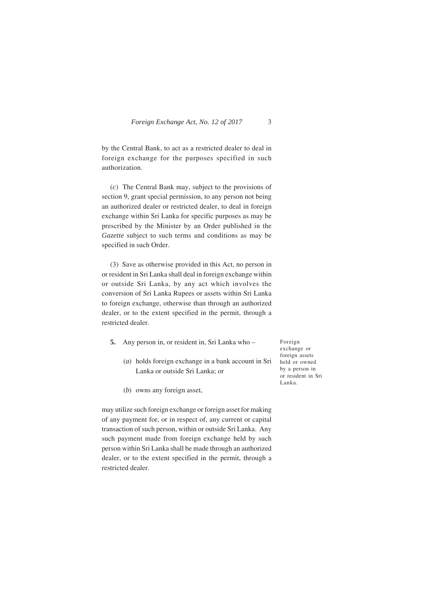by the Central Bank, to act as a restricted dealer to deal in foreign exchange for the purposes specified in such authorization.

(*c*) The Central Bank may, subject to the provisions of section 9, grant special permission, to any person not being an authorized dealer or restricted dealer, to deal in foreign exchange within Sri Lanka for specific purposes as may be prescribed by the Minister by an Order published in the *Gazette* subject to such terms and conditions as may be specified in such Order.

(3) Save as otherwise provided in this Act, no person in or resident in Sri Lanka shall deal in foreign exchange within or outside Sri Lanka, by any act which involves the conversion of Sri Lanka Rupees or assets within Sri Lanka to foreign exchange, otherwise than through an authorized dealer, or to the extent specified in the permit, through a restricted dealer.

- **5.** Any person in, or resident in, Sri Lanka who
	- (*a*) holds foreign exchange in a bank account in Sri Lanka or outside Sri Lanka; or

Foreign exchange or foreign assets held or owned by a person in or resident in Sri Lanka.

(*b*) owns any foreign asset,

may utilize such foreign exchange or foreign asset for making of any payment for, or in respect of, any current or capital transaction of such person, within or outside Sri Lanka. Any such payment made from foreign exchange held by such person within Sri Lanka shall be made through an authorized dealer, or to the extent specified in the permit, through a restricted dealer.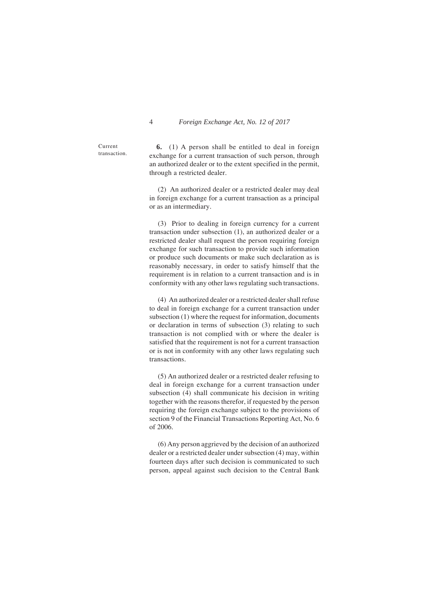Current transaction.

**6.** (1) A person shall be entitled to deal in foreign exchange for a current transaction of such person, through an authorized dealer or to the extent specified in the permit, through a restricted dealer.

(2) An authorized dealer or a restricted dealer may deal in foreign exchange for a current transaction as a principal or as an intermediary.

(3) Prior to dealing in foreign currency for a current transaction under subsection (1), an authorized dealer or a restricted dealer shall request the person requiring foreign exchange for such transaction to provide such information or produce such documents or make such declaration as is reasonably necessary, in order to satisfy himself that the requirement is in relation to a current transaction and is in conformity with any other laws regulating such transactions.

(4) An authorized dealer or a restricted dealer shall refuse to deal in foreign exchange for a current transaction under subsection (1) where the request for information, documents or declaration in terms of subsection (3) relating to such transaction is not complied with or where the dealer is satisfied that the requirement is not for a current transaction or is not in conformity with any other laws regulating such transactions.

(5) An authorized dealer or a restricted dealer refusing to deal in foreign exchange for a current transaction under subsection (4) shall communicate his decision in writing together with the reasons therefor, if requested by the person requiring the foreign exchange subject to the provisions of section 9 of the Financial Transactions Reporting Act, No. 6 of 2006.

(6) Any person aggrieved by the decision of an authorized dealer or a restricted dealer under subsection (4) may, within fourteen days after such decision is communicated to such person, appeal against such decision to the Central Bank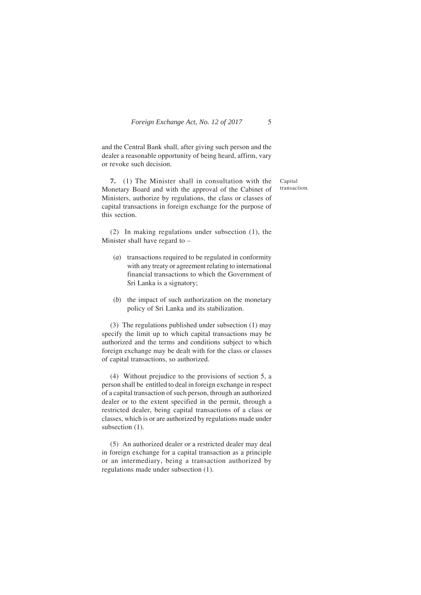and the Central Bank shall, after giving such person and the dealer a reasonable opportunity of being heard, affirm, vary or revoke such decision.

**7.** (1) The Minister shall in consultation with the Monetary Board and with the approval of the Cabinet of Ministers, authorize by regulations, the class or classes of capital transactions in foreign exchange for the purpose of this section.

(2) In making regulations under subsection (1), the Minister shall have regard to –

- (*a*) transactions required to be regulated in conformity with any treaty or agreement relating to international financial transactions to which the Government of Sri Lanka is a signatory;
- (*b*) the impact of such authorization on the monetary policy of Sri Lanka and its stabilization.

(3) The regulations published under subsection (1) may specify the limit up to which capital transactions may be authorized and the terms and conditions subject to which foreign exchange may be dealt with for the class or classes of capital transactions, so authorized.

(4) Without prejudice to the provisions of section 5, a person shall be entitled to deal in foreign exchange in respect of a capital transaction of such person, through an authorized dealer or to the extent specified in the permit, through a restricted dealer, being capital transactions of a class or classes, which is or are authorized by regulations made under subsection  $(1)$ .

(5) An authorized dealer or a restricted dealer may deal in foreign exchange for a capital transaction as a principle or an intermediary, being a transaction authorized by regulations made under subsection (1).

Capital transaction.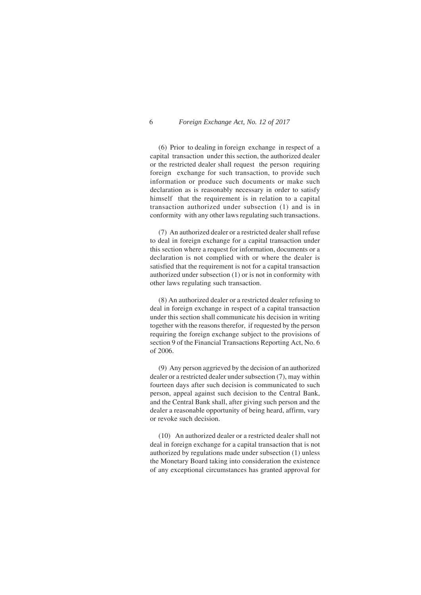(6) Prior to dealing in foreign exchange in respect of a capital transaction under this section, the authorized dealer or the restricted dealer shall request the person requiring foreign exchange for such transaction, to provide such information or produce such documents or make such declaration as is reasonably necessary in order to satisfy himself that the requirement is in relation to a capital transaction authorized under subsection (1) and is in conformity with any other laws regulating such transactions.

(7) An authorized dealer or a restricted dealer shall refuse to deal in foreign exchange for a capital transaction under this section where a request for information, documents or a declaration is not complied with or where the dealer is satisfied that the requirement is not for a capital transaction authorized under subsection (1) or is not in conformity with other laws regulating such transaction.

(8) An authorized dealer or a restricted dealer refusing to deal in foreign exchange in respect of a capital transaction under this section shall communicate his decision in writing together with the reasons therefor, if requested by the person requiring the foreign exchange subject to the provisions of section 9 of the Financial Transactions Reporting Act, No. 6 of 2006.

(9) Any person aggrieved by the decision of an authorized dealer or a restricted dealer under subsection (7), may within fourteen days after such decision is communicated to such person, appeal against such decision to the Central Bank, and the Central Bank shall, after giving such person and the dealer a reasonable opportunity of being heard, affirm, vary or revoke such decision.

(10) An authorized dealer or a restricted dealer shall not deal in foreign exchange for a capital transaction that is not authorized by regulations made under subsection (1) unless the Monetary Board taking into consideration the existence of any exceptional circumstances has granted approval for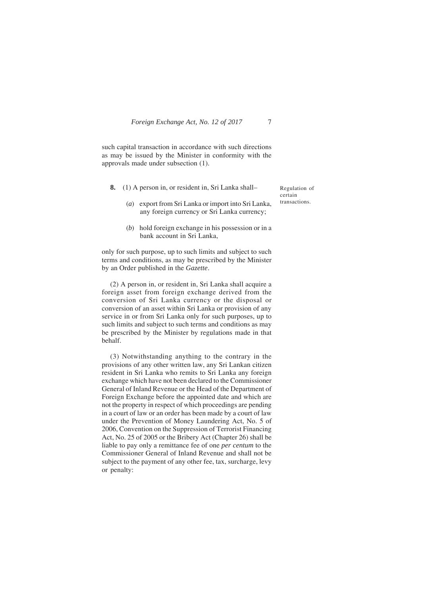such capital transaction in accordance with such directions as may be issued by the Minister in conformity with the approvals made under subsection (1).

**8.** (1) A person in, or resident in, Sri Lanka shall–

(*a*) export from Sri Lanka or import into Sri Lanka, any foreign currency or Sri Lanka currency;

(*b*) hold foreign exchange in his possession or in a bank account in Sri Lanka,

only for such purpose, up to such limits and subject to such terms and conditions, as may be prescribed by the Minister by an Order published in the *Gazette*.

(2) A person in, or resident in, Sri Lanka shall acquire a foreign asset from foreign exchange derived from the conversion of Sri Lanka currency or the disposal or conversion of an asset within Sri Lanka or provision of any service in or from Sri Lanka only for such purposes, up to such limits and subject to such terms and conditions as may be prescribed by the Minister by regulations made in that behalf.

(3) Notwithstanding anything to the contrary in the provisions of any other written law, any Sri Lankan citizen resident in Sri Lanka who remits to Sri Lanka any foreign exchange which have not been declared to the Commissioner General of Inland Revenue or the Head of the Department of Foreign Exchange before the appointed date and which are not the property in respect of which proceedings are pending in a court of law or an order has been made by a court of law under the Prevention of Money Laundering Act, No. 5 of 2006, Convention on the Suppression of Terrorist Financing Act, No. 25 of 2005 or the Bribery Act (Chapter 26) shall be liable to pay only a remittance fee of one *per centum* to the Commissioner General of Inland Revenue and shall not be subject to the payment of any other fee, tax, surcharge, levy or penalty:

Regulation of certain transactions.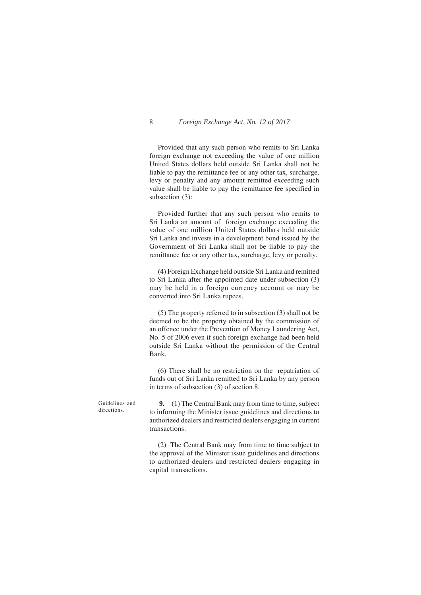Provided that any such person who remits to Sri Lanka foreign exchange not exceeding the value of one million United States dollars held outside Sri Lanka shall not be liable to pay the remittance fee or any other tax, surcharge, levy or penalty and any amount remitted exceeding such value shall be liable to pay the remittance fee specified in subsection (3):

Provided further that any such person who remits to Sri Lanka an amount of foreign exchange exceeding the value of one million United States dollars held outside Sri Lanka and invests in a development bond issued by the Government of Sri Lanka shall not be liable to pay the remittance fee or any other tax, surcharge, levy or penalty.

(4) Foreign Exchange held outside Sri Lanka and remitted to Sri Lanka after the appointed date under subsection (3) may be held in a foreign currency account or may be converted into Sri Lanka rupees.

(5) The property referred to in subsection (3) shall not be deemed to be the property obtained by the commission of an offence under the Prevention of Money Laundering Act, No. 5 of 2006 even if such foreign exchange had been held outside Sri Lanka without the permission of the Central Bank.

(6) There shall be no restriction on the repatriation of funds out of Sri Lanka remitted to Sri Lanka by any person in terms of subsection (3) of section 8.

**9.** (1) The Central Bank may from time to time, subject to informing the Minister issue guidelines and directions to authorized dealers and restricted dealers engaging in current transactions.

> (2) The Central Bank may from time to time subject to the approval of the Minister issue guidelines and directions to authorized dealers and restricted dealers engaging in capital transactions.

Guidelines and directions.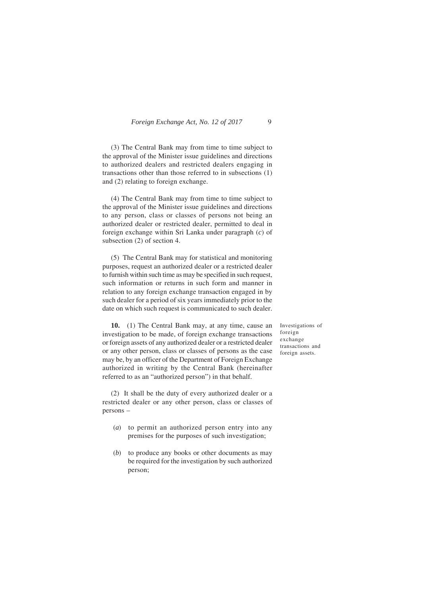(3) The Central Bank may from time to time subject to the approval of the Minister issue guidelines and directions to authorized dealers and restricted dealers engaging in transactions other than those referred to in subsections (1) and (2) relating to foreign exchange.

(4) The Central Bank may from time to time subject to the approval of the Minister issue guidelines and directions to any person, class or classes of persons not being an authorized dealer or restricted dealer, permitted to deal in foreign exchange within Sri Lanka under paragraph (*c*) of subsection (2) of section 4.

(5) The Central Bank may for statistical and monitoring purposes, request an authorized dealer or a restricted dealer to furnish within such time as may be specified in such request, such information or returns in such form and manner in relation to any foreign exchange transaction engaged in by such dealer for a period of six years immediately prior to the date on which such request is communicated to such dealer.

**10.** (1) The Central Bank may, at any time, cause an investigation to be made, of foreign exchange transactions or foreign assets of any authorized dealer or a restricted dealer or any other person, class or classes of persons as the case may be, by an officer of the Department of Foreign Exchange authorized in writing by the Central Bank (hereinafter referred to as an "authorized person") in that behalf.

(2) It shall be the duty of every authorized dealer or a restricted dealer or any other person, class or classes of persons –

- (*a*) to permit an authorized person entry into any premises for the purposes of such investigation;
- (*b*) to produce any books or other documents as may be required for the investigation by such authorized person;

Investigations of foreign exchange transactions and foreign assets.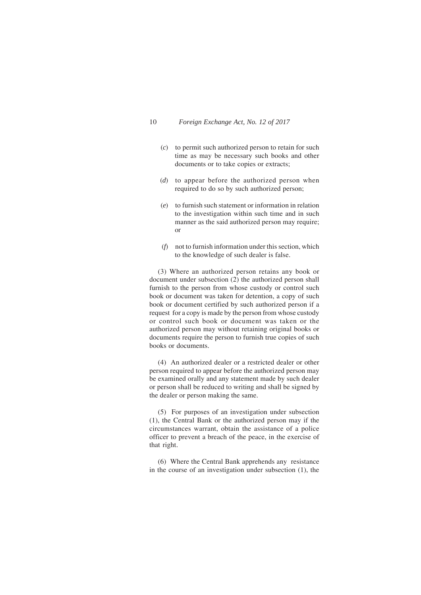- (*c*) to permit such authorized person to retain for such time as may be necessary such books and other documents or to take copies or extracts;
- (*d*) to appear before the authorized person when required to do so by such authorized person;
- (*e*) to furnish such statement or information in relation to the investigation within such time and in such manner as the said authorized person may require; or
- (*f*) not to furnish information under this section, which to the knowledge of such dealer is false.

(3) Where an authorized person retains any book or document under subsection (2) the authorized person shall furnish to the person from whose custody or control such book or document was taken for detention, a copy of such book or document certified by such authorized person if a request for a copy is made by the person from whose custody or control such book or document was taken or the authorized person may without retaining original books or documents require the person to furnish true copies of such books or documents.

(4) An authorized dealer or a restricted dealer or other person required to appear before the authorized person may be examined orally and any statement made by such dealer or person shall be reduced to writing and shall be signed by the dealer or person making the same.

(5) For purposes of an investigation under subsection (1), the Central Bank or the authorized person may if the circumstances warrant, obtain the assistance of a police officer to prevent a breach of the peace, in the exercise of that right.

(6) Where the Central Bank apprehends any resistance in the course of an investigation under subsection (1), the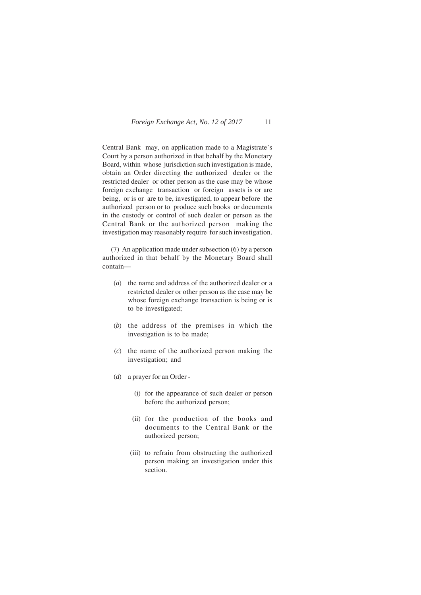Central Bank may, on application made to a Magistrate's Court by a person authorized in that behalf by the Monetary Board, within whose jurisdiction such investigation is made, obtain an Order directing the authorized dealer or the restricted dealer or other person as the case may be whose foreign exchange transaction or foreign assets is or are being, or is or are to be, investigated, to appear before the authorized person or to produce such books or documents in the custody or control of such dealer or person as the Central Bank or the authorized person making the investigation may reasonably require for such investigation.

(7) An application made under subsection (6) by a person authorized in that behalf by the Monetary Board shall contain—

- (*a*) the name and address of the authorized dealer or a restricted dealer or other person as the case may be whose foreign exchange transaction is being or is to be investigated;
- (*b*) the address of the premises in which the investigation is to be made;
- (*c*) the name of the authorized person making the investigation; and
- (*d*) a prayer for an Order
	- (i) for the appearance of such dealer or person before the authorized person;
	- (ii) for the production of the books and documents to the Central Bank or the authorized person;
	- (iii) to refrain from obstructing the authorized person making an investigation under this section.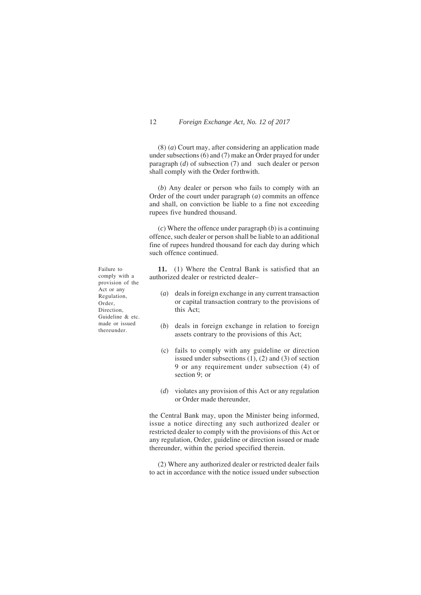(8) (*a*) Court may, after considering an application made under subsections (6) and (7) make an Order prayed for under paragraph (*d*) of subsection (7) and such dealer or person shall comply with the Order forthwith.

(*b*) Any dealer or person who fails to comply with an Order of the court under paragraph (*a*) commits an offence and shall, on conviction be liable to a fine not exceeding rupees five hundred thousand.

(*c*) Where the offence under paragraph (*b*) is a continuing offence, such dealer or person shall be liable to an additional fine of rupees hundred thousand for each day during which such offence continued.

**11.** (1) Where the Central Bank is satisfied that an authorized dealer or restricted dealer–

- (*a*) deals in foreign exchange in any current transaction or capital transaction contrary to the provisions of this Act;
- (*b*) deals in foreign exchange in relation to foreign assets contrary to the provisions of this Act;
- (c) fails to comply with any guideline or direction issued under subsections (1), (2) and (3) of section 9 or any requirement under subsection (4) of section 9; or
- (*d*) violates any provision of this Act or any regulation or Order made thereunder,

the Central Bank may, upon the Minister being informed, issue a notice directing any such authorized dealer or restricted dealer to comply with the provisions of this Act or any regulation, Order, guideline or direction issued or made thereunder, within the period specified therein.

(2) Where any authorized dealer or restricted dealer fails to act in accordance with the notice issued under subsection

Failure to comply with a provision of the Act or any Regulation, Order, Direction, Guideline & etc. made or issued thereunder.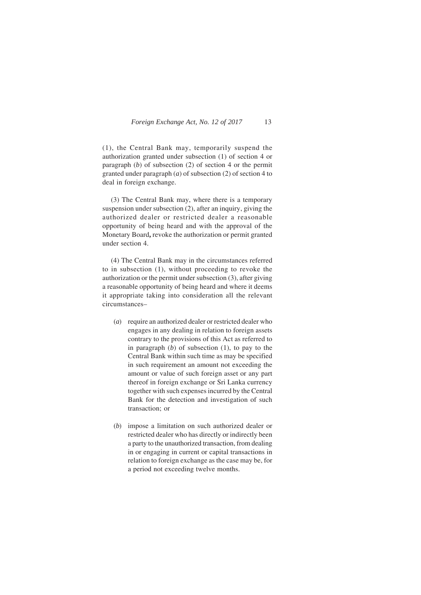(1), the Central Bank may, temporarily suspend the authorization granted under subsection (1) of section 4 or paragraph (*b*) of subsection (2) of section 4 or the permit granted under paragraph (*a*) of subsection (2) of section 4 to deal in foreign exchange.

(3) The Central Bank may, where there is a temporary suspension under subsection (2), after an inquiry, giving the authorized dealer or restricted dealer a reasonable opportunity of being heard and with the approval of the Monetary Board**,** revoke the authorization or permit granted under section 4.

(4) The Central Bank may in the circumstances referred to in subsection (1), without proceeding to revoke the authorization or the permit under subsection (3), after giving a reasonable opportunity of being heard and where it deems it appropriate taking into consideration all the relevant circumstances–

- (*a*) require an authorized dealer or restricted dealer who engages in any dealing in relation to foreign assets contrary to the provisions of this Act as referred to in paragraph (*b*) of subsection (1), to pay to the Central Bank within such time as may be specified in such requirement an amount not exceeding the amount or value of such foreign asset or any part thereof in foreign exchange or Sri Lanka currency together with such expenses incurred by the Central Bank for the detection and investigation of such transaction; or
- (*b*) impose a limitation on such authorized dealer or restricted dealer who has directly or indirectly been a party to the unauthorized transaction, from dealing in or engaging in current or capital transactions in relation to foreign exchange as the case may be, for a period not exceeding twelve months.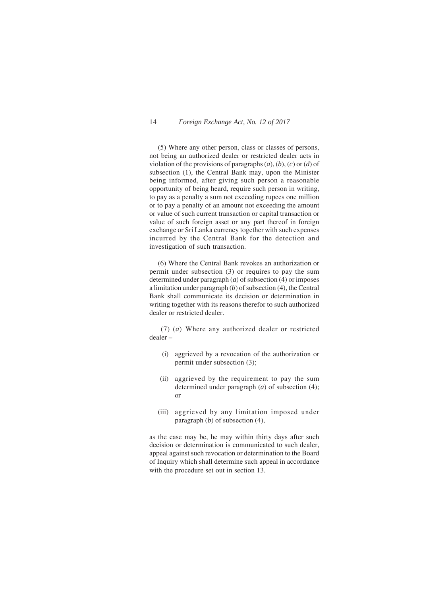(5) Where any other person, class or classes of persons, not being an authorized dealer or restricted dealer acts in violation of the provisions of paragraphs (*a*), (*b*), (*c*) or (*d*) of subsection (1), the Central Bank may, upon the Minister being informed, after giving such person a reasonable opportunity of being heard, require such person in writing, to pay as a penalty a sum not exceeding rupees one million or to pay a penalty of an amount not exceeding the amount or value of such current transaction or capital transaction or value of such foreign asset or any part thereof in foreign exchange or Sri Lanka currency together with such expenses incurred by the Central Bank for the detection and investigation of such transaction.

(6) Where the Central Bank revokes an authorization or permit under subsection (3) or requires to pay the sum determined under paragraph (*a*) of subsection (4) or imposes a limitation under paragraph (*b*) of subsection (4), the Central Bank shall communicate its decision or determination in writing together with its reasons therefor to such authorized dealer or restricted dealer.

 (7) (*a*) Where any authorized dealer or restricted dealer –

- (i) aggrieved by a revocation of the authorization or permit under subsection (3);
- (ii) aggrieved by the requirement to pay the sum determined under paragraph (*a*) of subsection (4); or
- (iii) aggrieved by any limitation imposed under paragraph (*b*) of subsection (4),

as the case may be, he may within thirty days after such decision or determination is communicated to such dealer, appeal against such revocation or determination to the Board of Inquiry which shall determine such appeal in accordance with the procedure set out in section 13.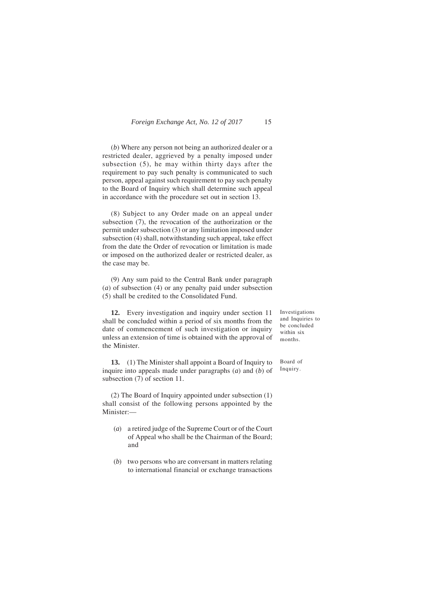(*b*) Where any person not being an authorized dealer or a restricted dealer, aggrieved by a penalty imposed under subsection (5), he may within thirty days after the requirement to pay such penalty is communicated to such person, appeal against such requirement to pay such penalty to the Board of Inquiry which shall determine such appeal in accordance with the procedure set out in section 13.

(8) Subject to any Order made on an appeal under subsection (7), the revocation of the authorization or the permit under subsection (3) or any limitation imposed under subsection (4) shall, notwithstanding such appeal, take effect from the date the Order of revocation or limitation is made or imposed on the authorized dealer or restricted dealer, as the case may be.

(9) Any sum paid to the Central Bank under paragraph (*a*) of subsection (4) or any penalty paid under subsection (5) shall be credited to the Consolidated Fund.

**12.** Every investigation and inquiry under section 11 shall be concluded within a period of six months from the date of commencement of such investigation or inquiry unless an extension of time is obtained with the approval of the Minister.

**13.** (1) The Minister shall appoint a Board of Inquiry to inquire into appeals made under paragraphs (*a*) and (*b*) of subsection (7) of section 11.

(2) The Board of Inquiry appointed under subsection (1) shall consist of the following persons appointed by the Minister:—

- (*a*) a retired judge of the Supreme Court or of the Court of Appeal who shall be the Chairman of the Board; and
- (*b*) two persons who are conversant in matters relating to international financial or exchange transactions

Investigations and Inquiries to be concluded within six months.

Board of Inquiry.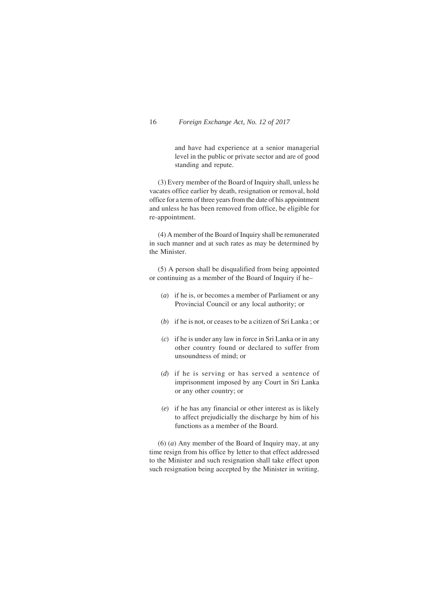and have had experience at a senior managerial level in the public or private sector and are of good standing and repute.

(3) Every member of the Board of Inquiry shall, unless he vacates office earlier by death, resignation or removal, hold office for a term of three years from the date of his appointment and unless he has been removed from office, be eligible for re-appointment.

(4) A member of the Board of Inquiry shall be remunerated in such manner and at such rates as may be determined by the Minister.

(5) A person shall be disqualified from being appointed or continuing as a member of the Board of Inquiry if he–

- (*a*) if he is, or becomes a member of Parliament or any Provincial Council or any local authority; or
- (*b*) if he is not, or ceases to be a citizen of Sri Lanka ; or
- (*c*) if he is under any law in force in Sri Lanka or in any other country found or declared to suffer from unsoundness of mind; or
- (*d*) if he is serving or has served a sentence of imprisonment imposed by any Court in Sri Lanka or any other country; or
- (*e*) if he has any financial or other interest as is likely to affect prejudicially the discharge by him of his functions as a member of the Board.

(6) (*a*) Any member of the Board of Inquiry may, at any time resign from his office by letter to that effect addressed to the Minister and such resignation shall take effect upon such resignation being accepted by the Minister in writing.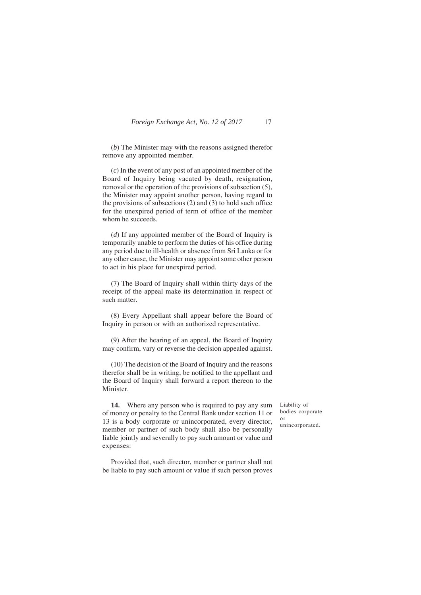(*b*) The Minister may with the reasons assigned therefor remove any appointed member.

(*c*) In the event of any post of an appointed member of the Board of Inquiry being vacated by death, resignation, removal or the operation of the provisions of subsection (5), the Minister may appoint another person, having regard to the provisions of subsections (2) and (3) to hold such office for the unexpired period of term of office of the member whom he succeeds.

(*d*) If any appointed member of the Board of Inquiry is temporarily unable to perform the duties of his office during any period due to ill-health or absence from Sri Lanka or for any other cause, the Minister may appoint some other person to act in his place for unexpired period.

(7) The Board of Inquiry shall within thirty days of the receipt of the appeal make its determination in respect of such matter.

(8) Every Appellant shall appear before the Board of Inquiry in person or with an authorized representative.

(9) After the hearing of an appeal, the Board of Inquiry may confirm, vary or reverse the decision appealed against.

(10) The decision of the Board of Inquiry and the reasons therefor shall be in writing, be notified to the appellant and the Board of Inquiry shall forward a report thereon to the Minister.

**14.** Where any person who is required to pay any sum of money or penalty to the Central Bank under section 11 or 13 is a body corporate or unincorporated, every director, member or partner of such body shall also be personally liable jointly and severally to pay such amount or value and expenses:

Provided that, such director, member or partner shall not be liable to pay such amount or value if such person proves

Liability of bodies corporate or unincorporated.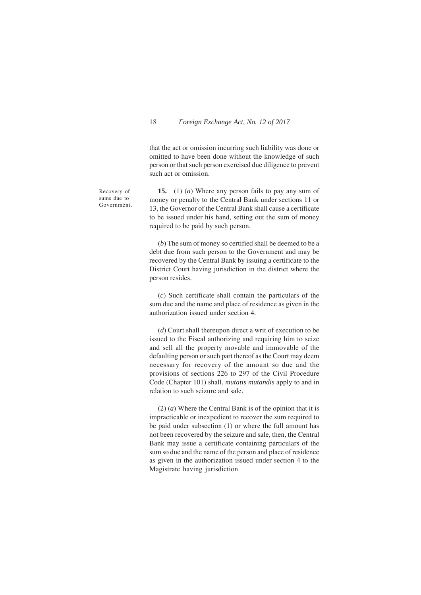that the act or omission incurring such liability was done or omitted to have been done without the knowledge of such person or that such person exercised due diligence to prevent such act or omission.

Recovery of sums due to Government.

**15.** (1) (*a*) Where any person fails to pay any sum of money or penalty to the Central Bank under sections 11 or 13, the Governor of the Central Bank shall cause a certificate to be issued under his hand, setting out the sum of money required to be paid by such person.

(*b*) The sum of money so certified shall be deemed to be a debt due from such person to the Government and may be recovered by the Central Bank by issuing a certificate to the District Court having jurisdiction in the district where the person resides.

(*c*) Such certificate shall contain the particulars of the sum due and the name and place of residence as given in the authorization issued under section 4.

(*d*) Court shall thereupon direct a writ of execution to be issued to the Fiscal authorizing and requiring him to seize and sell all the property movable and immovable of the defaulting person or such part thereof as the Court may deem necessary for recovery of the amount so due and the provisions of sections 226 to 297 of the Civil Procedure Code (Chapter 101) shall, *mutatis mutandis* apply to and in relation to such seizure and sale.

(2) (*a*) Where the Central Bank is of the opinion that it is impracticable or inexpedient to recover the sum required to be paid under subsection (1) or where the full amount has not been recovered by the seizure and sale, then, the Central Bank may issue a certificate containing particulars of the sum so due and the name of the person and place of residence as given in the authorization issued under section 4 to the Magistrate having jurisdiction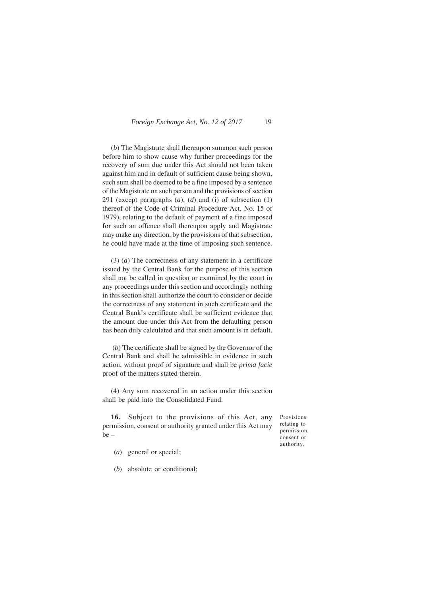(*b*) The Magistrate shall thereupon summon such person before him to show cause why further proceedings for the recovery of sum due under this Act should not been taken against him and in default of sufficient cause being shown, such sum shall be deemed to be a fine imposed by a sentence of the Magistrate on such person and the provisions of section 291 (except paragraphs (*a*), (*d*) and (i) of subsection (1) thereof of the Code of Criminal Procedure Act, No. 15 of 1979), relating to the default of payment of a fine imposed for such an offence shall thereupon apply and Magistrate may make any direction, by the provisions of that subsection, he could have made at the time of imposing such sentence.

(3) (*a*) The correctness of any statement in a certificate issued by the Central Bank for the purpose of this section shall not be called in question or examined by the court in any proceedings under this section and accordingly nothing in this section shall authorize the court to consider or decide the correctness of any statement in such certificate and the Central Bank's certificate shall be sufficient evidence that the amount due under this Act from the defaulting person has been duly calculated and that such amount is in default.

 (*b*) The certificate shall be signed by the Governor of the Central Bank and shall be admissible in evidence in such action, without proof of signature and shall be *prima facie* proof of the matters stated therein.

(4) Any sum recovered in an action under this section shall be paid into the Consolidated Fund.

**16.** Subject to the provisions of this Act, any permission, consent or authority granted under this Act may be –

Provisions relating to permission, consent or authority.

- (*a*) general or special;
- (*b*) absolute or conditional;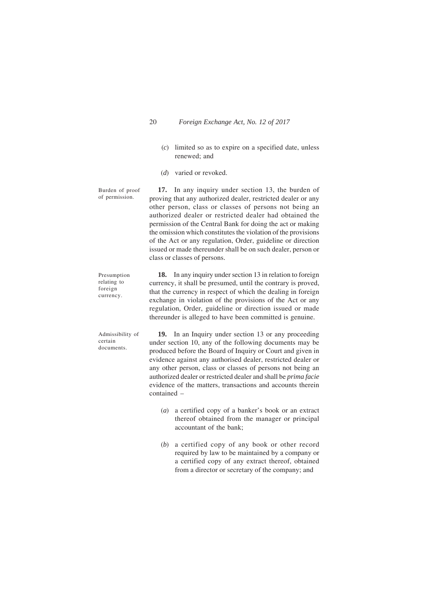- (*c*) limited so as to expire on a specified date, unless renewed; and
- (*d*) varied or revoked.

**17.** In any inquiry under section 13, the burden of proving that any authorized dealer, restricted dealer or any other person, class or classes of persons not being an authorized dealer or restricted dealer had obtained the permission of the Central Bank for doing the act or making the omission which constitutes the violation of the provisions of the Act or any regulation, Order, guideline or direction issued or made thereunder shall be on such dealer, person or class or classes of persons. Burden of proof of permission.

**18.** In any inquiry under section 13 in relation to foreign currency, it shall be presumed, until the contrary is proved, that the currency in respect of which the dealing in foreign exchange in violation of the provisions of the Act or any regulation, Order, guideline or direction issued or made thereunder is alleged to have been committed is genuine. foreign currency.

**19.** In an Inquiry under section 13 or any proceeding under section 10, any of the following documents may be produced before the Board of Inquiry or Court and given in evidence against any authorised dealer, restricted dealer or any other person, class or classes of persons not being an authorized dealer or restricted dealer and shall be *prima facie* evidence of the matters, transactions and accounts therein contained – Admissibility of certain documents.

- (*a*) a certified copy of a banker's book or an extract thereof obtained from the manager or principal accountant of the bank;
- (*b*) a certified copy of any book or other record required by law to be maintained by a company or a certified copy of any extract thereof, obtained from a director or secretary of the company; and

Presumption relating to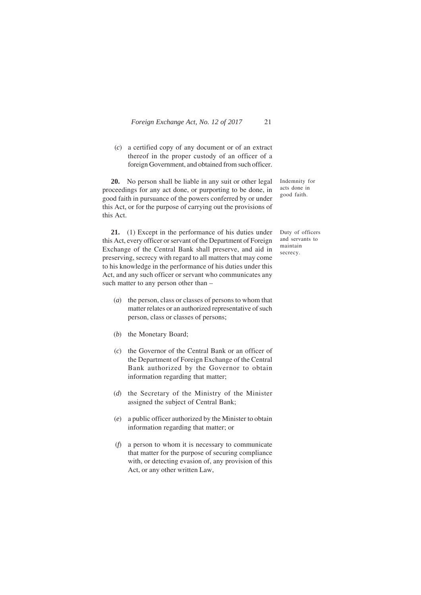(*c*) a certified copy of any document or of an extract thereof in the proper custody of an officer of a foreign Government, and obtained from such officer.

**20.** No person shall be liable in any suit or other legal proceedings for any act done, or purporting to be done, in good faith in pursuance of the powers conferred by or under this Act, or for the purpose of carrying out the provisions of this Act.

**21.** (1) Except in the performance of his duties under this Act, every officer or servant of the Department of Foreign Exchange of the Central Bank shall preserve, and aid in preserving, secrecy with regard to all matters that may come to his knowledge in the performance of his duties under this Act, and any such officer or servant who communicates any such matter to any person other than –

- (*a*) the person, class or classes of persons to whom that matter relates or an authorized representative of such person, class or classes of persons;
- (*b*) the Monetary Board;
- (*c*) the Governor of the Central Bank or an officer of the Department of Foreign Exchange of the Central Bank authorized by the Governor to obtain information regarding that matter;
- (*d*) the Secretary of the Ministry of the Minister assigned the subject of Central Bank;
- (*e*) a public officer authorized by the Minister to obtain information regarding that matter; or
- (*f*) a person to whom it is necessary to communicate that matter for the purpose of securing compliance with, or detecting evasion of, any provision of this Act, or any other written Law,

Indemnity for acts done in good faith.

Duty of officers and servants to maintain secrecy.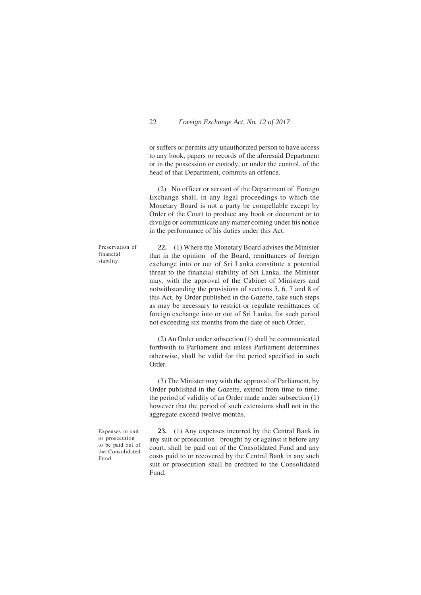or suffers or permits any unauthorized person to have access to any book, papers or records of the aforesaid Department or in the possession or custody, or under the control, of the head of that Department, commits an offence.

(2) No officer or servant of the Department of Foreign Exchange shall, in any legal proceedings to which the Monetary Board is not a party be compellable except by Order of the Court to produce any book or document or to divulge or communicate any matter coming under his notice in the performance of his duties under this Act.

Preservation of financial stability.

**22.** (1) Where the Monetary Board advises the Minister that in the opinion of the Board, remittances of foreign exchange into or out of Sri Lanka constitute a potential threat to the financial stability of Sri Lanka, the Minister may, with the approval of the Cabinet of Ministers and notwithstanding the provisions of sections 5, 6, 7 and 8 of this Act, by Order published in the *Gazette*, take such steps as may be necessary to restrict or regulate remittances of foreign exchange into or out of Sri Lanka, for such period not exceeding six months from the date of such Order.

(2) An Order under subsection (1) shall be communicated forthwith to Parliament and unless Parliament determines otherwise, shall be valid for the period specified in such Order.

(3) The Minister may with the approval of Parliament, by Order published in the *Gazette,* extend from time to time, the period of validity of an Order made under subsection (1) however that the period of such extensions shall not in the aggregate exceed twelve months.

Expenses in suit or prosecution to be paid out of the Consolidated Fund.

**23.** (1) Any expenses incurred by the Central Bank in any suit or prosecution brought by or against it before any court, shall be paid out of the Consolidated Fund and any costs paid to or recovered by the Central Bank in any such suit or prosecution shall be credited to the Consolidated Fund.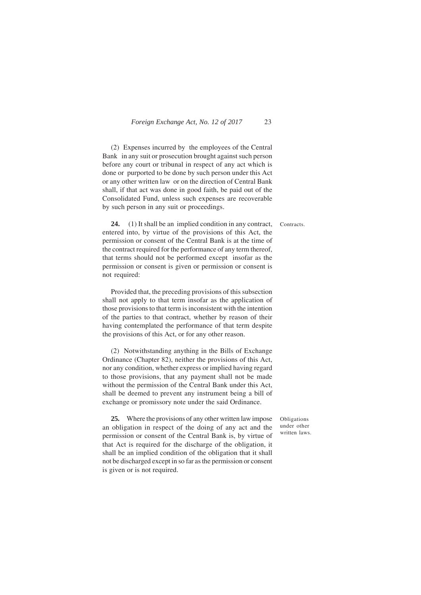(2) Expenses incurred by the employees of the Central Bank in any suit or prosecution brought against such person before any court or tribunal in respect of any act which is done or purported to be done by such person under this Act or any other written law or on the direction of Central Bank shall, if that act was done in good faith, be paid out of the Consolidated Fund, unless such expenses are recoverable by such person in any suit or proceedings.

Contracts.

**24.** (1) It shall be an implied condition in any contract, entered into, by virtue of the provisions of this Act, the permission or consent of the Central Bank is at the time of the contract required for the performance of any term thereof, that terms should not be performed except insofar as the permission or consent is given or permission or consent is not required:

Provided that, the preceding provisions of this subsection shall not apply to that term insofar as the application of those provisions to that term is inconsistent with the intention of the parties to that contract, whether by reason of their having contemplated the performance of that term despite the provisions of this Act, or for any other reason.

(2) Notwithstanding anything in the Bills of Exchange Ordinance (Chapter 82), neither the provisions of this Act, nor any condition, whether express or implied having regard to those provisions, that any payment shall not be made without the permission of the Central Bank under this Act, shall be deemed to prevent any instrument being a bill of exchange or promissory note under the said Ordinance.

**25.** Where the provisions of any other written law impose an obligation in respect of the doing of any act and the permission or consent of the Central Bank is, by virtue of that Act is required for the discharge of the obligation, it shall be an implied condition of the obligation that it shall not be discharged except in so far as the permission or consent is given or is not required.

Obligations under other written laws.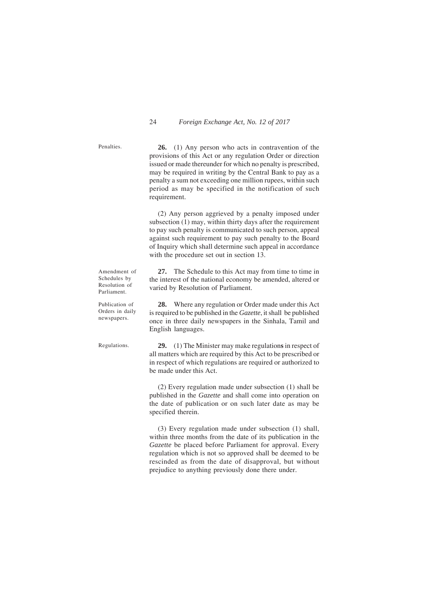**26.** (1) Any person who acts in contravention of the provisions of this Act or any regulation Order or direction issued or made thereunder for which no penalty is prescribed, may be required in writing by the Central Bank to pay as a penalty a sum not exceeding one million rupees, within such period as may be specified in the notification of such requirement.

(2) Any person aggrieved by a penalty imposed under subsection (1) may, within thirty days after the requirement to pay such penalty is communicated to such person, appeal against such requirement to pay such penalty to the Board of Inquiry which shall determine such appeal in accordance with the procedure set out in section 13.

**27.** The Schedule to this Act may from time to time in the interest of the national economy be amended, altered or varied by Resolution of Parliament.

**28.** Where any regulation or Order made under this Act is required to be published in the *Gazette*, it shall be published once in three daily newspapers in the Sinhala, Tamil and English languages.

Regulations.

Amendment of Schedules by Resolution of Parliament. Publication of Orders in daily newspapers.

> **29.** (1) The Minister may make regulation**s** in respect of all matters which are required by this Act to be prescribed or in respect of which regulations are required or authorized to be made under this Act.

> (2) Every regulation made under subsection (1) shall be published in the *Gazette* and shall come into operation on the date of publication or on such later date as may be specified therein.

> (3) Every regulation made under subsection (1) shall, within three months from the date of its publication in the *Gazette* be placed before Parliament for approval. Every regulation which is not so approved shall be deemed to be rescinded as from the date of disapproval, but without prejudice to anything previously done there under.

Penalties.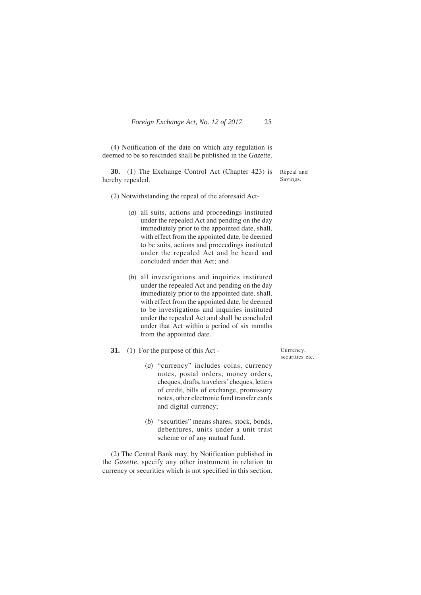(4) Notification of the date on which any regulation is deemed to be so rescinded shall be published in the *Gazette*.

**30.** (1) The Exchange Control Act (Chapter 423) is hereby repealed.

Repeal and Savings.

(2) Notwithstanding the repeal of the aforesaid Act-

- (*a*) all suits, actions and proceedings instituted under the repealed Act and pending on the day immediately prior to the appointed date, shall, with effect from the appointed date, be deemed to be suits, actions and proceedings instituted under the repealed Act and be heard and concluded under that Act; and
- (*b*) all investigations and inquiries instituted under the repealed Act and pending on the day immediately prior to the appointed date, shall, with effect from the appointed date, be deemed to be investigations and inquiries instituted under the repealed Act and shall be concluded under that Act within a period of six months from the appointed date.
- **31.** (1) For the purpose of this Act
	- (*a*) "currency" includes coins, currency notes, postal orders, money orders, cheques, drafts, travelers' cheques, letters of credit, bills of exchange, promissory notes, other electronic fund transfer cards and digital currency;
	- (*b*) "securities" means shares, stock, bonds, debentures, units under a unit trust scheme or of any mutual fund.

(2) The Central Bank may, by Notification published in the *Gazette*, specify any other instrument in relation to currency or securities which is not specified in this section.

Currency, securities etc.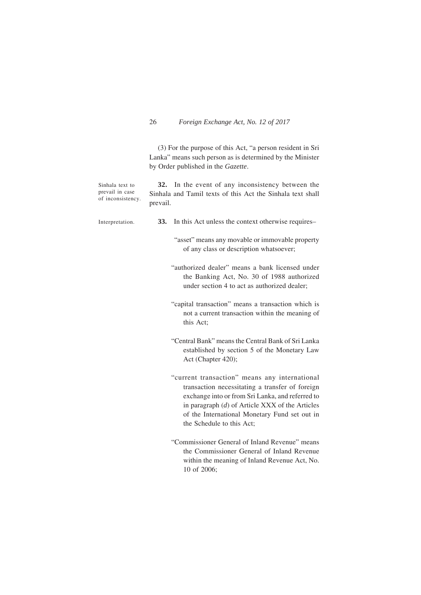(3) For the purpose of this Act, "a person resident in Sri Lanka" means such person as is determined by the Minister by Order published in the *Gazette*.

| Sinhala text to<br>prevail in case<br>of inconsistency. | 32. In the event of any inconsistency between the<br>Sinhala and Tamil texts of this Act the Sinhala text shall<br>prevail.                                                                                                                                                             |
|---------------------------------------------------------|-----------------------------------------------------------------------------------------------------------------------------------------------------------------------------------------------------------------------------------------------------------------------------------------|
| Interpretation.                                         | 33.<br>In this Act unless the context otherwise requires-                                                                                                                                                                                                                               |
|                                                         | "asset" means any movable or immovable property<br>of any class or description whatsoever;                                                                                                                                                                                              |
|                                                         | "authorized dealer" means a bank licensed under<br>the Banking Act, No. 30 of 1988 authorized<br>under section 4 to act as authorized dealer;                                                                                                                                           |
|                                                         | "capital transaction" means a transaction which is<br>not a current transaction within the meaning of<br>this Act;                                                                                                                                                                      |
|                                                         | "Central Bank" means the Central Bank of Sri Lanka<br>established by section 5 of the Monetary Law<br>Act (Chapter 420);                                                                                                                                                                |
|                                                         | "current transaction" means any international<br>transaction necessitating a transfer of foreign<br>exchange into or from Sri Lanka, and referred to<br>in paragraph $(d)$ of Article XXX of the Articles<br>of the International Monetary Fund set out in<br>the Schedule to this Act; |
|                                                         | "Commissioner General of Inland Revenue" means<br>the Commissioner General of Inland Revenue<br>within the meaning of Inland Revenue Act, No.<br>10 of 2006;                                                                                                                            |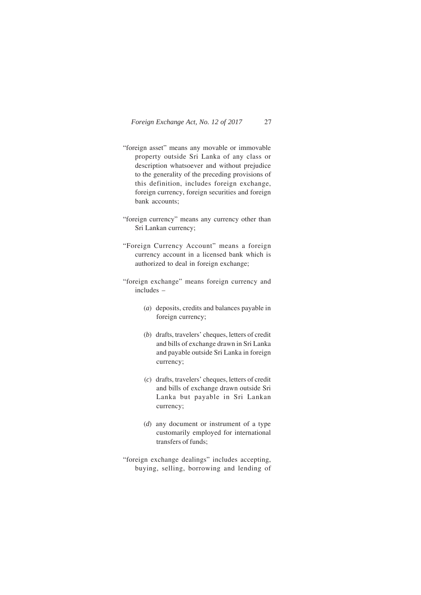- "foreign asset" means any movable or immovable property outside Sri Lanka of any class or description whatsoever and without prejudice to the generality of the preceding provisions of this definition, includes foreign exchange, foreign currency, foreign securities and foreign bank accounts;
- "foreign currency" means any currency other than Sri Lankan currency;
- "Foreign Currency Account" means a foreign currency account in a licensed bank which is authorized to deal in foreign exchange;
- "foreign exchange" means foreign currency and includes –
	- (*a*) deposits, credits and balances payable in foreign currency;
	- (*b*) drafts, travelers' cheques, letters of credit and bills of exchange drawn in Sri Lanka and payable outside Sri Lanka in foreign currency;
	- (*c*) drafts, travelers' cheques, letters of credit and bills of exchange drawn outside Sri Lanka but payable in Sri Lankan currency;
	- (*d*) any document or instrument of a type customarily employed for international transfers of funds;
- "foreign exchange dealings" includes accepting, buying, selling, borrowing and lending of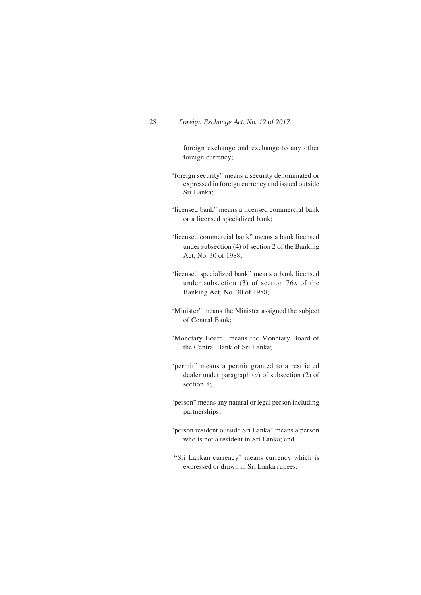foreign exchange and exchange to any other foreign currency;

- "foreign security" means a security denominated or expressed in foreign currency and issued outside Sri Lanka;
- "licensed bank" means a licensed commercial bank or a licensed specialized bank;
- "licensed commercial bank" means a bank licensed under subsection (4) of section 2 of the Banking Act, No. 30 of 1988;
- "licensed specialized bank" means a bank licensed under subsection (3) of section 76A of the Banking Act, No. 30 of 1988;
- "Minister" means the Minister assigned the subject of Central Bank;
- "Monetary Board" means the Monetary Board of the Central Bank of Sri Lanka;
- "permit" means a permit granted to a restricted dealer under paragraph (*a*) of subsection (2) of section 4;
- "person" means any natural or legal person including partnerships;
- "person resident outside Sri Lanka" means a person who is not a resident in Sri Lanka; and
- "Sri Lankan currency" means currency which is expressed or drawn in Sri Lanka rupees.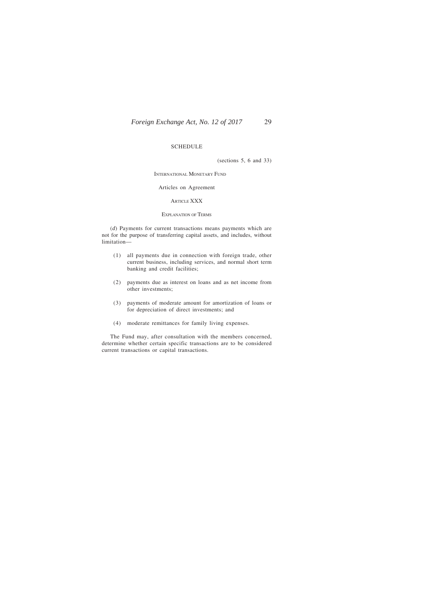#### SCHEDULE

(sections 5, 6 and 33)

INTERNATIONAL MONETARY FUND

#### Articles on Agreement

#### ARTICLE XXX

#### EXPLANATION OF TERMS

(*d*) Payments for current transactions means payments which are not for the purpose of transferring capital assets, and includes, without limitation—

- (1) all payments due in connection with foreign trade, other current business, including services, and normal short term banking and credit facilities;
- (2) payments due as interest on loans and as net income from other investments;
- (3) payments of moderate amount for amortization of loans or for depreciation of direct investments; and
- (4) moderate remittances for family living expenses.

The Fund may, after consultation with the members concerned, determine whether certain specific transactions are to be considered current transactions or capital transactions.